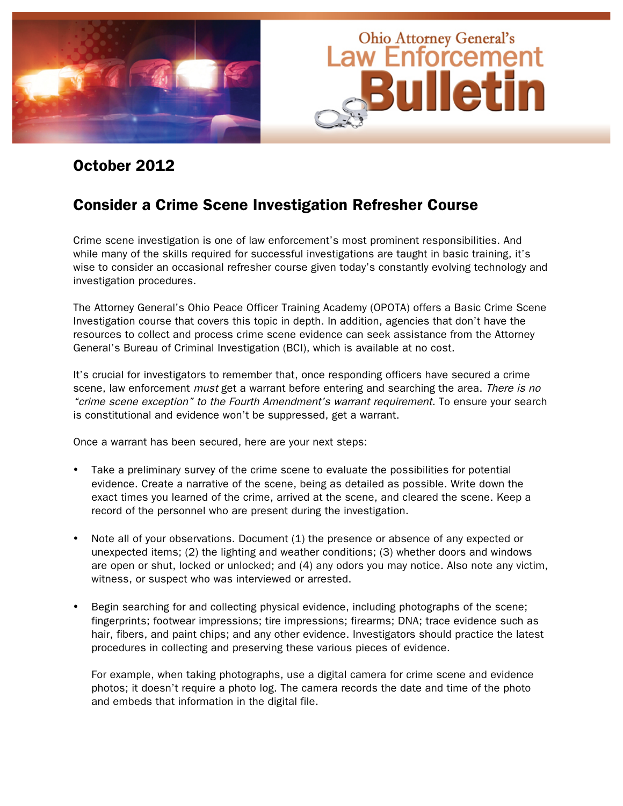

# October 2012

# Consider a Crime Scene Investigation Refresher Course

Crime scene investigation is one of law enforcement's most prominent responsibilities. And while many of the skills required for successful investigations are taught in basic training, it's wise to consider an occasional refresher course given today's constantly evolving technology and investigation procedures.

The Attorney General's Ohio Peace Officer Training Academy (OPOTA) offers a Basic Crime Scene Investigation course that covers this topic in depth. In addition, agencies that don't have the resources to collect and process crime scene evidence can seek assistance from the Attorney General's Bureau of Criminal Investigation (BCI), which is available at no cost.

It's crucial for investigators to remember that, once responding officers have secured a crime scene, law enforcement *must* get a warrant before entering and searching the area. There is no "crime scene exception" to the Fourth Amendment's warrant requirement. To ensure your search is constitutional and evidence won't be suppressed, get a warrant.

Once a warrant has been secured, here are your next steps:

- Take a preliminary survey of the crime scene to evaluate the possibilities for potential evidence. Create a narrative of the scene, being as detailed as possible. Write down the exact times you learned of the crime, arrived at the scene, and cleared the scene. Keep a record of the personnel who are present during the investigation.
- Note all of your observations. Document (1) the presence or absence of any expected or unexpected items; (2) the lighting and weather conditions; (3) whether doors and windows are open or shut, locked or unlocked; and (4) any odors you may notice. Also note any victim, witness, or suspect who was interviewed or arrested.
- Begin searching for and collecting physical evidence, including photographs of the scene; fingerprints; footwear impressions; tire impressions; firearms; DNA; trace evidence such as hair, fibers, and paint chips; and any other evidence. Investigators should practice the latest procedures in collecting and preserving these various pieces of evidence.

For example, when taking photographs, use a digital camera for crime scene and evidence photos; it doesn't require a photo log. The camera records the date and time of the photo and embeds that information in the digital file.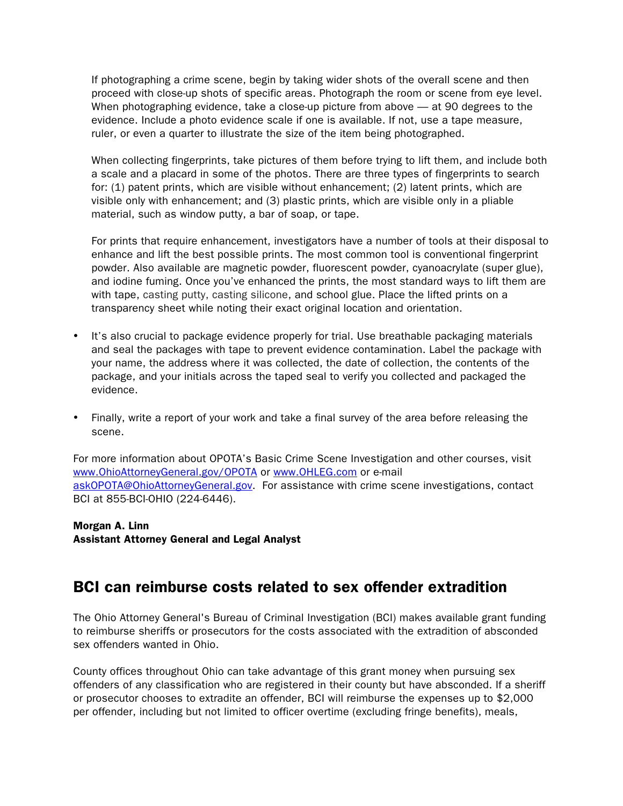If photographing a crime scene, begin by taking wider shots of the overall scene and then proceed with close-up shots of specific areas. Photograph the room or scene from eye level. When photographing evidence, take a close-up picture from above — at 90 degrees to the evidence. Include a photo evidence scale if one is available. If not, use a tape measure, ruler, or even a quarter to illustrate the size of the item being photographed.

When collecting fingerprints, take pictures of them before trying to lift them, and include both a scale and a placard in some of the photos. There are three types of fingerprints to search for: (1) patent prints, which are visible without enhancement; (2) latent prints, which are visible only with enhancement; and (3) plastic prints, which are visible only in a pliable material, such as window putty, a bar of soap, or tape.

For prints that require enhancement, investigators have a number of tools at their disposal to enhance and lift the best possible prints. The most common tool is conventional fingerprint powder. Also available are magnetic powder, fluorescent powder, cyanoacrylate (super glue), and iodine fuming. Once you've enhanced the prints, the most standard ways to lift them are with tape, casting putty, casting silicone, and school glue. Place the lifted prints on a transparency sheet while noting their exact original location and orientation.

- It's also crucial to package evidence properly for trial. Use breathable packaging materials and seal the packages with tape to prevent evidence contamination. Label the package with your name, the address where it was collected, the date of collection, the contents of the package, and your initials across the taped seal to verify you collected and packaged the evidence.
- Finally, write a report of your work and take a final survey of the area before releasing the scene.

For more information about OPOTA's Basic Crime Scene Investigation and other courses, visit www.OhioAttorneyGeneral.gov/OPOTA or www.OHLEG.com or e-mail askOPOTA@OhioAttorneyGeneral.gov. For assistance with crime scene investigations, contact BCI at 855-BCI-OHIO (224-6446).

Morgan A. Linn Assistant Attorney General and Legal Analyst

# BCI can reimburse costs related to sex offender extradition

The Ohio Attorney General's Bureau of Criminal Investigation (BCI) makes available grant funding to reimburse sheriffs or prosecutors for the costs associated with the extradition of absconded sex offenders wanted in Ohio.

County offices throughout Ohio can take advantage of this grant money when pursuing sex offenders of any classification who are registered in their county but have absconded. If a sheriff or prosecutor chooses to extradite an offender, BCI will reimburse the expenses up to \$2,000 per offender, including but not limited to officer overtime (excluding fringe benefits), meals,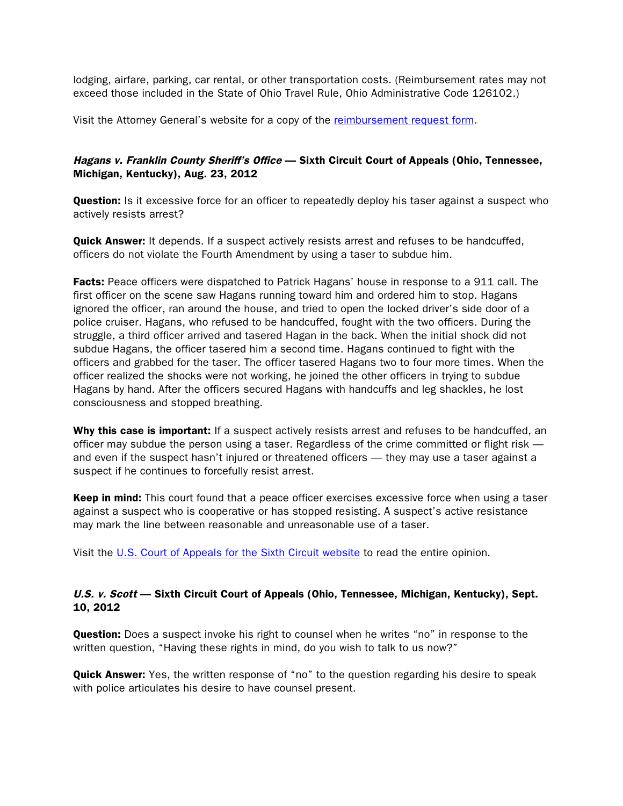lodging, airfare, parking, car rental, or other transportation costs. (Reimbursement rates may not exceed those included in the State of Ohio Travel Rule, Ohio Administrative Code 126102.)

Visit the Attorney General's website for a copy of the [reimbursement request form](http://www.ohioattorneygeneral.gov/Law-Enforcement/Bureau-of-Criminal-Investigation/SORNET).

### Hagans v. Franklin County Sheriff's Office - Sixth Circuit Court of Appeals (Ohio, Tennessee, Michigan, Kentucky), Aug. 23, 2012

**Question:** Is it excessive force for an officer to repeatedly deploy his taser against a suspect who actively resists arrest?

**Quick Answer:** It depends. If a suspect actively resists arrest and refuses to be handcuffed, officers do not violate the Fourth Amendment by using a taser to subdue him.

**Facts:** Peace officers were dispatched to Patrick Hagans' house in response to a 911 call. The first officer on the scene saw Hagans running toward him and ordered him to stop. Hagans ignored the officer, ran around the house, and tried to open the locked driver's side door of a police cruiser. Hagans, who refused to be handcuffed, fought with the two officers. During the struggle, a third officer arrived and tasered Hagan in the back. When the initial shock did not subdue Hagans, the officer tasered him a second time. Hagans continued to fight with the officers and grabbed for the taser. The officer tasered Hagans two to four more times. When the officer realized the shocks were not working, he joined the other officers in trying to subdue Hagans by hand. After the officers secured Hagans with handcuffs and leg shackles, he lost consciousness and stopped breathing.

Why this case is important: If a suspect actively resists arrest and refuses to be handcuffed, an officer may subdue the person using a taser. Regardless of the crime committed or flight risk and even if the suspect hasn't injured or threatened officers — they may use a taser against a suspect if he continues to forcefully resist arrest.

Keep in mind: This court found that a peace officer exercises excessive force when using a taser against a suspect who is cooperative or has stopped resisting. A suspect's active resistance may mark the line between reasonable and unreasonable use of a taser.

Visit the [U.S. Court of Appeals for the Sixth Circuit website](http://www.ca6.uscourts.gov/opinions.pdf/12a0280p-06.pdf) to read the entire opinion.

#### U.S. v. Scott — Sixth Circuit Court of Appeals (Ohio, Tennessee, Michigan, Kentucky), Sept. 10, 2012

**Question:** Does a suspect invoke his right to counsel when he writes "no" in response to the written question, "Having these rights in mind, do you wish to talk to us now?"

**Quick Answer:** Yes, the written response of "no" to the question regarding his desire to speak with police articulates his desire to have counsel present.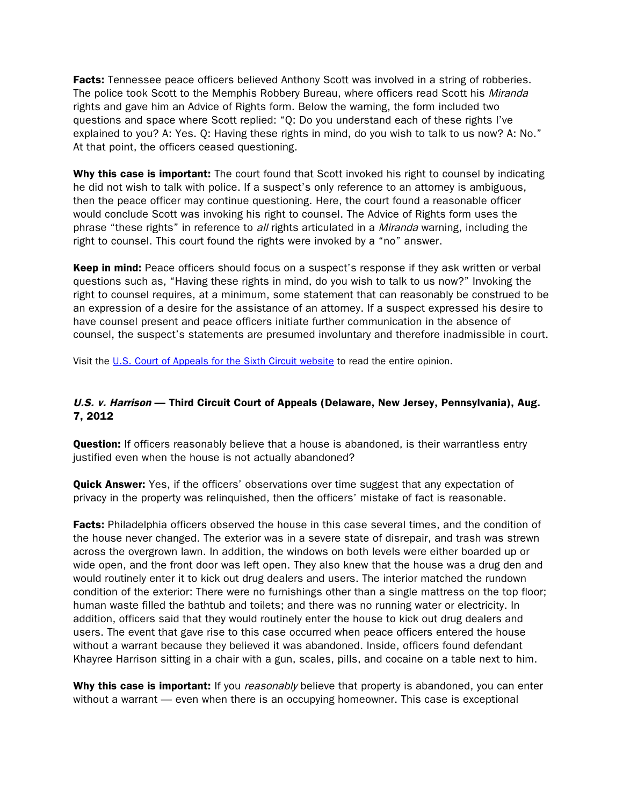**Facts:** Tennessee peace officers believed Anthony Scott was involved in a string of robberies. The police took Scott to the Memphis Robbery Bureau, where officers read Scott his Miranda rights and gave him an Advice of Rights form. Below the warning, the form included two questions and space where Scott replied: "Q: Do you understand each of these rights I've explained to you? A: Yes. Q: Having these rights in mind, do you wish to talk to us now? A: No." At that point, the officers ceased questioning.

Why this case is important: The court found that Scott invoked his right to counsel by indicating he did not wish to talk with police. If a suspect's only reference to an attorney is ambiguous, then the peace officer may continue questioning. Here, the court found a reasonable officer would conclude Scott was invoking his right to counsel. The Advice of Rights form uses the phrase "these rights" in reference to all rights articulated in a Miranda warning, including the right to counsel. This court found the rights were invoked by a "no" answer.

**Keep in mind:** Peace officers should focus on a suspect's response if they ask written or verbal questions such as, "Having these rights in mind, do you wish to talk to us now?" Invoking the right to counsel requires, at a minimum, some statement that can reasonably be construed to be an expression of a desire for the assistance of an attorney. If a suspect expressed his desire to have counsel present and peace officers initiate further communication in the absence of counsel, the suspect's statements are presumed involuntary and therefore inadmissible in court.

Visit the [U.S. Court of Appeals for the Sixth Circuit website](http://www.ca6.uscourts.gov/opinions.pdf/12a0315p-06.pdf) to read the entire opinion.

### U.S. v. Harrison — Third Circuit Court of Appeals (Delaware, New Jersey, Pennsylvania), Aug. 7, 2012

**Question:** If officers reasonably believe that a house is abandoned, is their warrantless entry justified even when the house is not actually abandoned?

**Quick Answer:** Yes, if the officers' observations over time suggest that any expectation of privacy in the property was relinquished, then the officers' mistake of fact is reasonable.

**Facts:** Philadelphia officers observed the house in this case several times, and the condition of the house never changed. The exterior was in a severe state of disrepair, and trash was strewn across the overgrown lawn. In addition, the windows on both levels were either boarded up or wide open, and the front door was left open. They also knew that the house was a drug den and would routinely enter it to kick out drug dealers and users. The interior matched the rundown condition of the exterior: There were no furnishings other than a single mattress on the top floor; human waste filled the bathtub and toilets; and there was no running water or electricity. In addition, officers said that they would routinely enter the house to kick out drug dealers and users. The event that gave rise to this case occurred when peace officers entered the house without a warrant because they believed it was abandoned. Inside, officers found defendant Khayree Harrison sitting in a chair with a gun, scales, pills, and cocaine on a table next to him.

Why this case is important: If you *reasonably* believe that property is abandoned, you can enter without a warrant — even when there is an occupying homeowner. This case is exceptional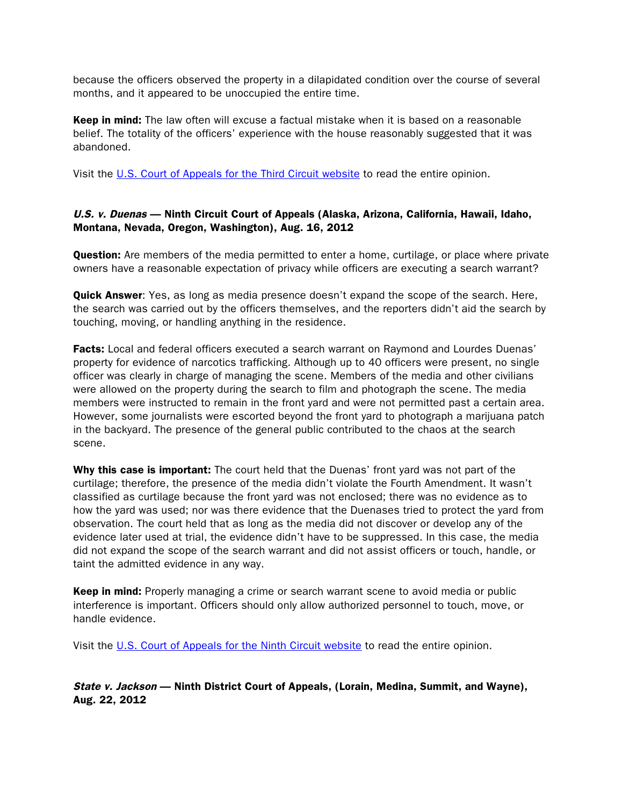because the officers observed the property in a dilapidated condition over the course of several months, and it appeared to be unoccupied the entire time.

Keep in mind: The law often will excuse a factual mistake when it is based on a reasonable belief. The totality of the officers' experience with the house reasonably suggested that it was abandoned.

Visit the [U.S. Court of Appeals for the Third Circuit website](http://www.ca3.uscourts.gov/opinarch/112566p.pdf) to read the entire opinion.

### U.S. v. Duenas — Ninth Circuit Court of Appeals (Alaska, Arizona, California, Hawaii, Idaho, Montana, Nevada, Oregon, Washington), Aug. 16, 2012

**Question:** Are members of the media permitted to enter a home, curtilage, or place where private owners have a reasonable expectation of privacy while officers are executing a search warrant?

**Quick Answer:** Yes, as long as media presence doesn't expand the scope of the search. Here, the search was carried out by the officers themselves, and the reporters didn't aid the search by touching, moving, or handling anything in the residence.

**Facts:** Local and federal officers executed a search warrant on Raymond and Lourdes Duenas' property for evidence of narcotics trafficking. Although up to 40 officers were present, no single officer was clearly in charge of managing the scene. Members of the media and other civilians were allowed on the property during the search to film and photograph the scene. The media members were instructed to remain in the front yard and were not permitted past a certain area. However, some journalists were escorted beyond the front yard to photograph a marijuana patch in the backyard. The presence of the general public contributed to the chaos at the search scene.

Why this case is important: The court held that the Duenas' front yard was not part of the curtilage; therefore, the presence of the media didn't violate the Fourth Amendment. It wasn't classified as curtilage because the front yard was not enclosed; there was no evidence as to how the yard was used; nor was there evidence that the Duenases tried to protect the yard from observation. The court held that as long as the media did not discover or develop any of the evidence later used at trial, the evidence didn't have to be suppressed. In this case, the media did not expand the scope of the search warrant and did not assist officers or touch, handle, or taint the admitted evidence in any way.

**Keep in mind:** Properly managing a crime or search warrant scene to avoid media or public interference is important. Officers should only allow authorized personnel to touch, move, or handle evidence.

Visit the [U.S. Court of Appeals for the Ninth Circuit website](http://www.ca9.uscourts.gov/datastore/opinions/2012/08/16/09-10492.pdf) to read the entire opinion.

State v. Jackson — Ninth District Court of Appeals, (Lorain, Medina, Summit, and Wayne), Aug. 22, 2012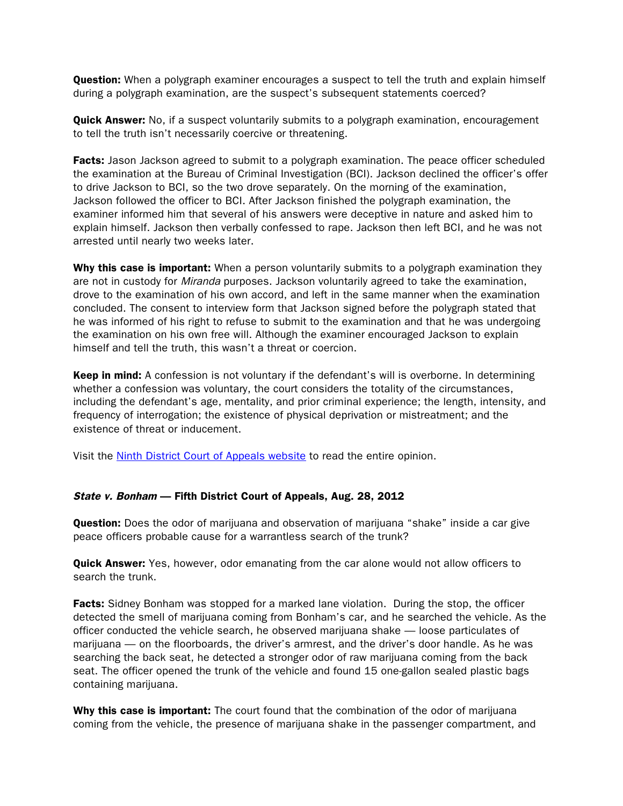**Question:** When a polygraph examiner encourages a suspect to tell the truth and explain himself during a polygraph examination, are the suspect's subsequent statements coerced?

**Quick Answer:** No, if a suspect voluntarily submits to a polygraph examination, encouragement to tell the truth isn't necessarily coercive or threatening.

**Facts:** Jason Jackson agreed to submit to a polygraph examination. The peace officer scheduled the examination at the Bureau of Criminal Investigation (BCI). Jackson declined the officer's offer to drive Jackson to BCI, so the two drove separately. On the morning of the examination, Jackson followed the officer to BCI. After Jackson finished the polygraph examination, the examiner informed him that several of his answers were deceptive in nature and asked him to explain himself. Jackson then verbally confessed to rape. Jackson then left BCI, and he was not arrested until nearly two weeks later.

Why this case is important: When a person voluntarily submits to a polygraph examination they are not in custody for *Miranda* purposes. Jackson voluntarily agreed to take the examination, drove to the examination of his own accord, and left in the same manner when the examination concluded. The consent to interview form that Jackson signed before the polygraph stated that he was informed of his right to refuse to submit to the examination and that he was undergoing the examination on his own free will. Although the examiner encouraged Jackson to explain himself and tell the truth, this wasn't a threat or coercion.

Keep in mind: A confession is not voluntary if the defendant's will is overborne. In determining whether a confession was voluntary, the court considers the totality of the circumstances, including the defendant's age, mentality, and prior criminal experience; the length, intensity, and frequency of interrogation; the existence of physical deprivation or mistreatment; and the existence of threat or inducement.

Visit the [Ninth District Court of Appeals website](http://www.supremecourt.ohio.gov/rod/docs/pdf/9/2012/2012-ohio-3785.pdf) to read the entire opinion.

#### State v. Bonham — Fifth District Court of Appeals, Aug. 28, 2012

**Question:** Does the odor of marijuana and observation of marijuana "shake" inside a car give peace officers probable cause for a warrantless search of the trunk?

**Quick Answer:** Yes, however, odor emanating from the car alone would not allow officers to search the trunk.

**Facts:** Sidney Bonham was stopped for a marked lane violation. During the stop, the officer detected the smell of marijuana coming from Bonham's car, and he searched the vehicle. As the officer conducted the vehicle search, he observed marijuana shake — loose particulates of marijuana — on the floorboards, the driver's armrest, and the driver's door handle. As he was searching the back seat, he detected a stronger odor of raw marijuana coming from the back seat. The officer opened the trunk of the vehicle and found 15 one-gallon sealed plastic bags containing marijuana.

Why this case is important: The court found that the combination of the odor of marijuana coming from the vehicle, the presence of marijuana shake in the passenger compartment, and